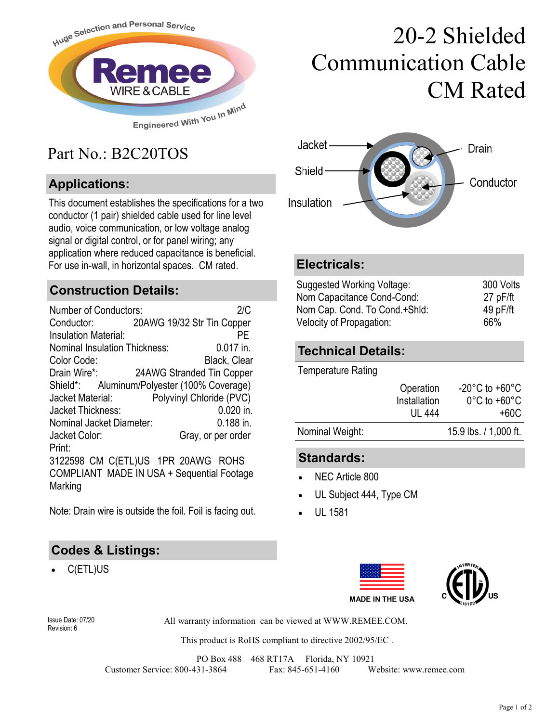

## Part No.: B2C20TOS

### **Applications:**

This document establishes the specifications for a two conductor (1 pair) shielded cable used for line level audio, voice communication, or low voltage analog signal or digital control, or for panel wiring; any application where reduced capacitance is beneficial. For use in-wall, in horizontal spaces. CM rated. **Electricals:**

#### **Construction Details:**

| <b>Number of Conductors:</b>                |  |                            | 2/C          |  |
|---------------------------------------------|--|----------------------------|--------------|--|
| Conductor:                                  |  | 20AWG 19/32 Str Tin Copper |              |  |
| <b>Insulation Material:</b>                 |  |                            | РF           |  |
| Nominal Insulation Thickness:               |  |                            | $0.017$ in.  |  |
| Color Code:                                 |  |                            | Black, Clear |  |
| Drain Wire*:                                |  | 24AWG Stranded Tin Copper  |              |  |
| Shield*: Aluminum/Polyester (100% Coverage) |  |                            |              |  |
| Jacket Material:                            |  | Polyvinyl Chloride (PVC)   |              |  |
| Jacket Thickness:                           |  |                            | $0.020$ in.  |  |
| Nominal Jacket Diameter:                    |  |                            | $0.188$ in.  |  |
| Jacket Color:                               |  | Gray, or per order         |              |  |
| Print:                                      |  |                            |              |  |
| 3122598 CM C(ETL)US 1PR 20AWG ROHS          |  |                            |              |  |
| COMPLIANT MADE IN USA + Sequential Footage  |  |                            |              |  |
| Marking                                     |  |                            |              |  |

Note: Drain wire is outside the foil. Foil is facing out.

#### **Codes & Listings:**

C(ETL)US

# 20-2 Shielded Communication Cable CM Rated



| Suggested Working Voltage:    | 300 Volts |
|-------------------------------|-----------|
| Nom Capacitance Cond-Cond:    | 27 pF/ft  |
| Nom Cap. Cond. To Cond.+Shld: | 49 pF/ft  |
| Velocity of Propagation:      | 66%       |

#### **Technical Details:**

Temperature Rating

| Nominal Weight: | UL 444       | +60C<br>15.9 lbs. / 1,000 ft.      |
|-----------------|--------------|------------------------------------|
|                 | Installation | $0^{\circ}$ C to +60 $^{\circ}$ C  |
|                 |              |                                    |
|                 | Operation    | $-20^{\circ}$ C to $+60^{\circ}$ C |

#### **Standards:**

- NEC Article 800
- UL Subject 444, Type CM
- UL 1581





Revision: 6

All warranty information can be viewed at WWW.REMEE.COM. Issue Date: 07/20

This product is RoHS compliant to directive 2002/95/EC .

PO Box 488 468 RT17A Florida, NY 10921 Customer Service: 800-431-3864 Fax: 845-651-4160 Website: www.remee.com